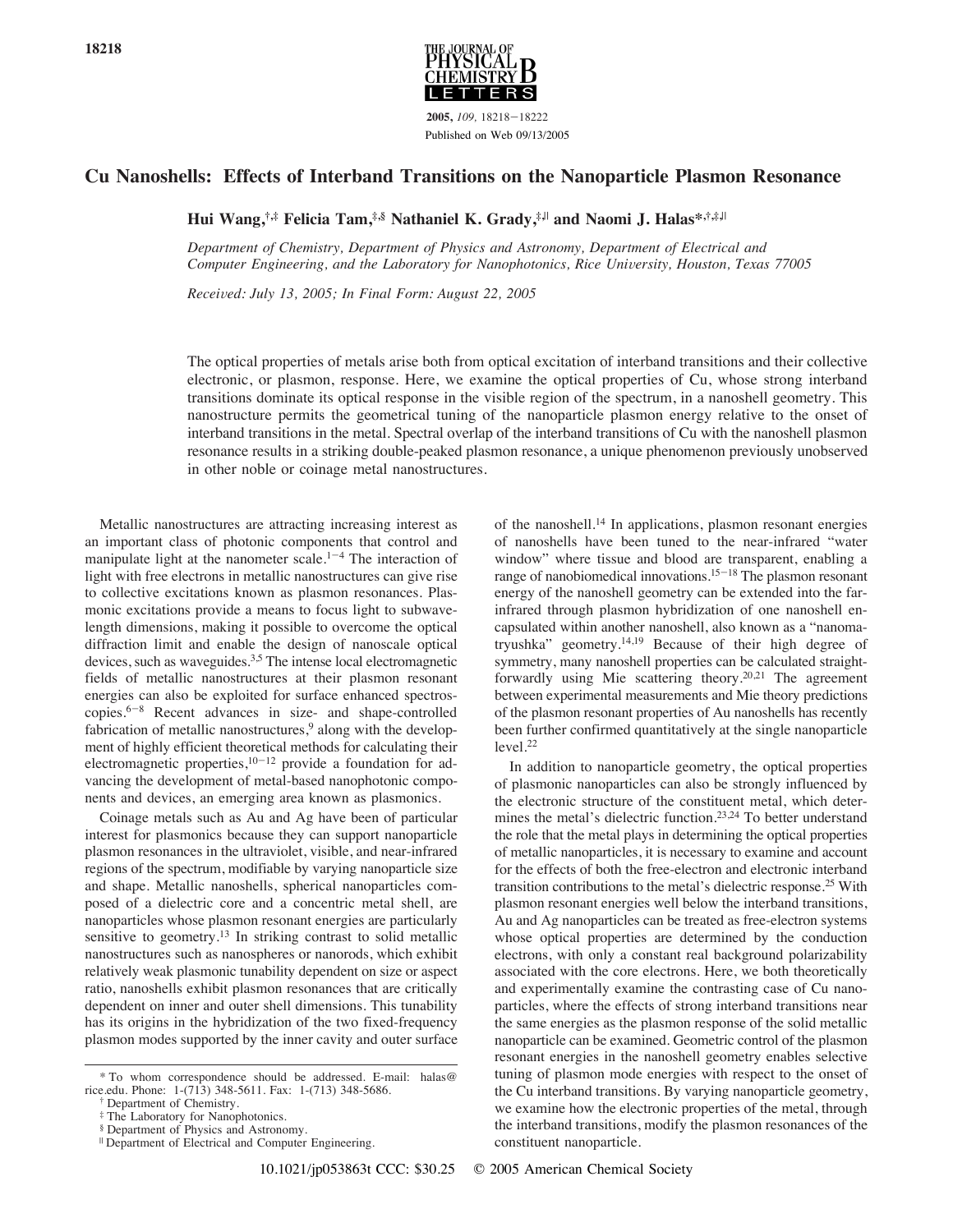

**2005,** *109,* 18218-18222 Published on Web 09/13/2005

#### **Cu Nanoshells: Effects of Interband Transitions on the Nanoparticle Plasmon Resonance**

**Hui Wang,†,‡ Felicia Tam,‡,§ Nathaniel K. Grady,‡,**<sup>|</sup> **and Naomi J. Halas\*,†,‡,**<sup>|</sup>

*Department of Chemistry, Department of Physics and Astronomy, Department of Electrical and Computer Engineering, and the Laboratory for Nanophotonics, Rice University, Houston, Texas 77005* 

*Recei*V*ed: July 13, 2005; In Final Form: August 22, 2005*

The optical properties of metals arise both from optical excitation of interband transitions and their collective electronic, or plasmon, response. Here, we examine the optical properties of Cu, whose strong interband transitions dominate its optical response in the visible region of the spectrum, in a nanoshell geometry. This nanostructure permits the geometrical tuning of the nanoparticle plasmon energy relative to the onset of interband transitions in the metal. Spectral overlap of the interband transitions of Cu with the nanoshell plasmon resonance results in a striking double-peaked plasmon resonance, a unique phenomenon previously unobserved in other noble or coinage metal nanostructures.

Metallic nanostructures are attracting increasing interest as an important class of photonic components that control and manipulate light at the nanometer scale.<sup>1-4</sup> The interaction of light with free electrons in metallic nanostructures can give rise to collective excitations known as plasmon resonances. Plasmonic excitations provide a means to focus light to subwavelength dimensions, making it possible to overcome the optical diffraction limit and enable the design of nanoscale optical devices, such as waveguides.3,5 The intense local electromagnetic fields of metallic nanostructures at their plasmon resonant energies can also be exploited for surface enhanced spectroscopies.6-<sup>8</sup> Recent advances in size- and shape-controlled fabrication of metallic nanostructures,<sup>9</sup> along with the development of highly efficient theoretical methods for calculating their electromagnetic properties, $10-12$  provide a foundation for advancing the development of metal-based nanophotonic components and devices, an emerging area known as plasmonics.

Coinage metals such as Au and Ag have been of particular interest for plasmonics because they can support nanoparticle plasmon resonances in the ultraviolet, visible, and near-infrared regions of the spectrum, modifiable by varying nanoparticle size and shape. Metallic nanoshells, spherical nanoparticles composed of a dielectric core and a concentric metal shell, are nanoparticles whose plasmon resonant energies are particularly sensitive to geometry.<sup>13</sup> In striking contrast to solid metallic nanostructures such as nanospheres or nanorods, which exhibit relatively weak plasmonic tunability dependent on size or aspect ratio, nanoshells exhibit plasmon resonances that are critically dependent on inner and outer shell dimensions. This tunability has its origins in the hybridization of the two fixed-frequency plasmon modes supported by the inner cavity and outer surface of the nanoshell.14 In applications, plasmon resonant energies of nanoshells have been tuned to the near-infrared "water window" where tissue and blood are transparent, enabling a range of nanobiomedical innovations.15-<sup>18</sup> The plasmon resonant energy of the nanoshell geometry can be extended into the farinfrared through plasmon hybridization of one nanoshell encapsulated within another nanoshell, also known as a "nanomatryushka" geometry.14,19 Because of their high degree of symmetry, many nanoshell properties can be calculated straightforwardly using Mie scattering theory.<sup>20,21</sup> The agreement between experimental measurements and Mie theory predictions of the plasmon resonant properties of Au nanoshells has recently been further confirmed quantitatively at the single nanoparticle level.22

In addition to nanoparticle geometry, the optical properties of plasmonic nanoparticles can also be strongly influenced by the electronic structure of the constituent metal, which determines the metal's dielectric function.<sup>23,24</sup> To better understand the role that the metal plays in determining the optical properties of metallic nanoparticles, it is necessary to examine and account for the effects of both the free-electron and electronic interband transition contributions to the metal's dielectric response.25 With plasmon resonant energies well below the interband transitions, Au and Ag nanoparticles can be treated as free-electron systems whose optical properties are determined by the conduction electrons, with only a constant real background polarizability associated with the core electrons. Here, we both theoretically and experimentally examine the contrasting case of Cu nanoparticles, where the effects of strong interband transitions near the same energies as the plasmon response of the solid metallic nanoparticle can be examined. Geometric control of the plasmon resonant energies in the nanoshell geometry enables selective tuning of plasmon mode energies with respect to the onset of the Cu interband transitions. By varying nanoparticle geometry, we examine how the electronic properties of the metal, through the interband transitions, modify the plasmon resonances of the constituent nanoparticle.

<sup>\*</sup> To whom correspondence should be addressed. E-mail: halas@ rice.edu. Phone: 1-(713) 348-5611. Fax: 1-(713) 348-5686.

<sup>†</sup> Department of Chemistry.

<sup>‡</sup> The Laboratory for Nanophotonics.

<sup>§</sup> Department of Physics and Astronomy.

<sup>|</sup> Department of Electrical and Computer Engineering.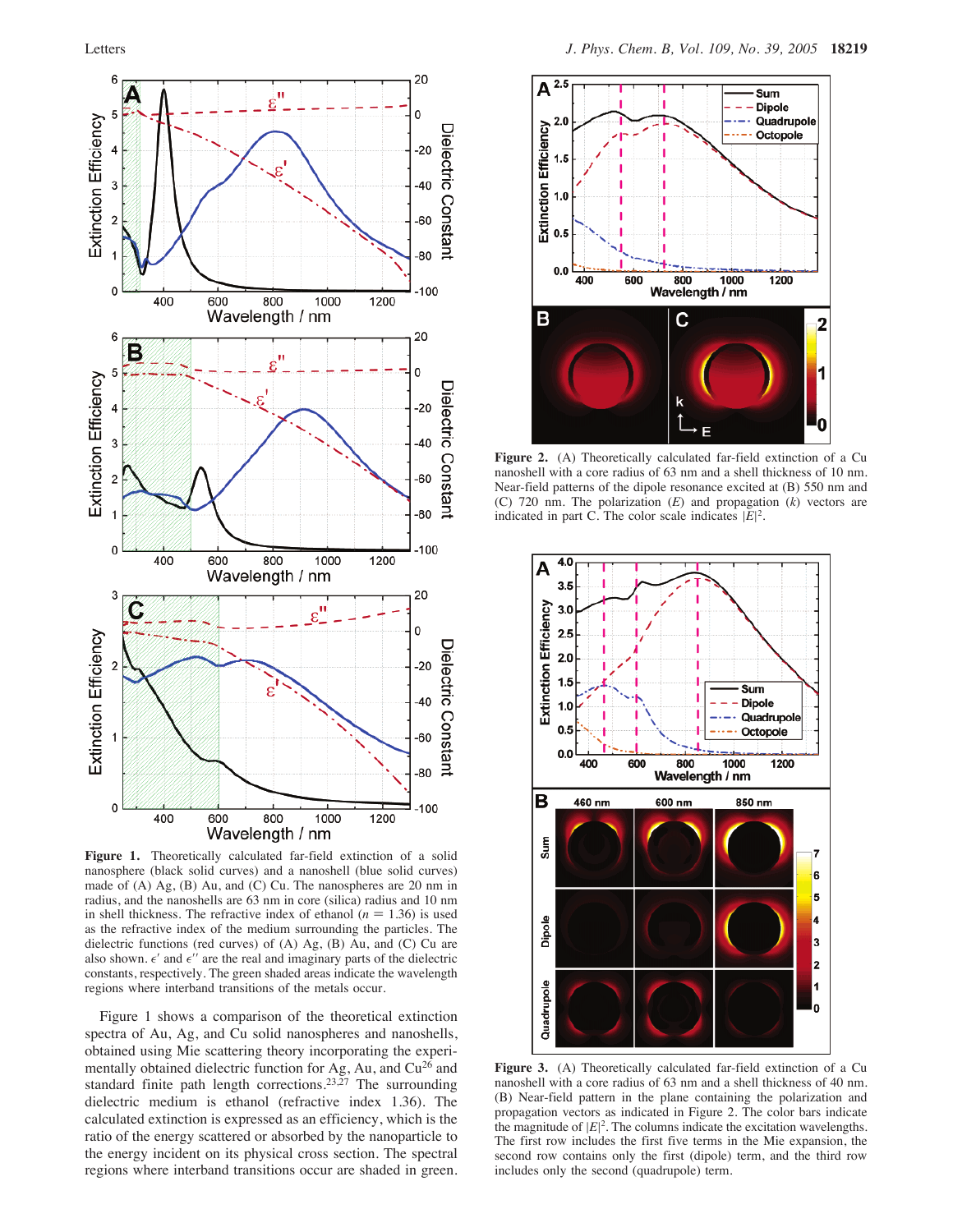

**Figure 1.** Theoretically calculated far-field extinction of a solid nanosphere (black solid curves) and a nanoshell (blue solid curves) made of (A) Ag, (B) Au, and (C) Cu. The nanospheres are 20 nm in radius, and the nanoshells are 63 nm in core (silica) radius and 10 nm in shell thickness. The refractive index of ethanol  $(n = 1.36)$  is used as the refractive index of the medium surrounding the particles. The dielectric functions (red curves) of (A) Ag, (B) Au, and (C) Cu are also shown.  $\epsilon'$  and  $\epsilon''$  are the real and imaginary parts of the dielectric constants, respectively. The green shaded areas indicate the wavelength regions where interband transitions of the metals occur.

Figure 1 shows a comparison of the theoretical extinction spectra of Au, Ag, and Cu solid nanospheres and nanoshells, obtained using Mie scattering theory incorporating the experimentally obtained dielectric function for Ag, Au, and Cu<sup>26</sup> and standard finite path length corrections.<sup>23,27</sup> The surrounding dielectric medium is ethanol (refractive index 1.36). The calculated extinction is expressed as an efficiency, which is the ratio of the energy scattered or absorbed by the nanoparticle to the energy incident on its physical cross section. The spectral regions where interband transitions occur are shaded in green.



**Figure 2.** (A) Theoretically calculated far-field extinction of a Cu nanoshell with a core radius of 63 nm and a shell thickness of 10 nm. Near-field patterns of the dipole resonance excited at (B) 550 nm and (C) 720 nm. The polarization (*E*) and propagation (*k*) vectors are indicated in part C. The color scale indicates  $|E|^2$ .



**Figure 3.** (A) Theoretically calculated far-field extinction of a Cu nanoshell with a core radius of 63 nm and a shell thickness of 40 nm. (B) Near-field pattern in the plane containing the polarization and propagation vectors as indicated in Figure 2. The color bars indicate the magnitude of  $|E|^2$ . The columns indicate the excitation wavelengths. The first row includes the first five terms in the Mie expansion, the second row contains only the first (dipole) term, and the third row includes only the second (quadrupole) term.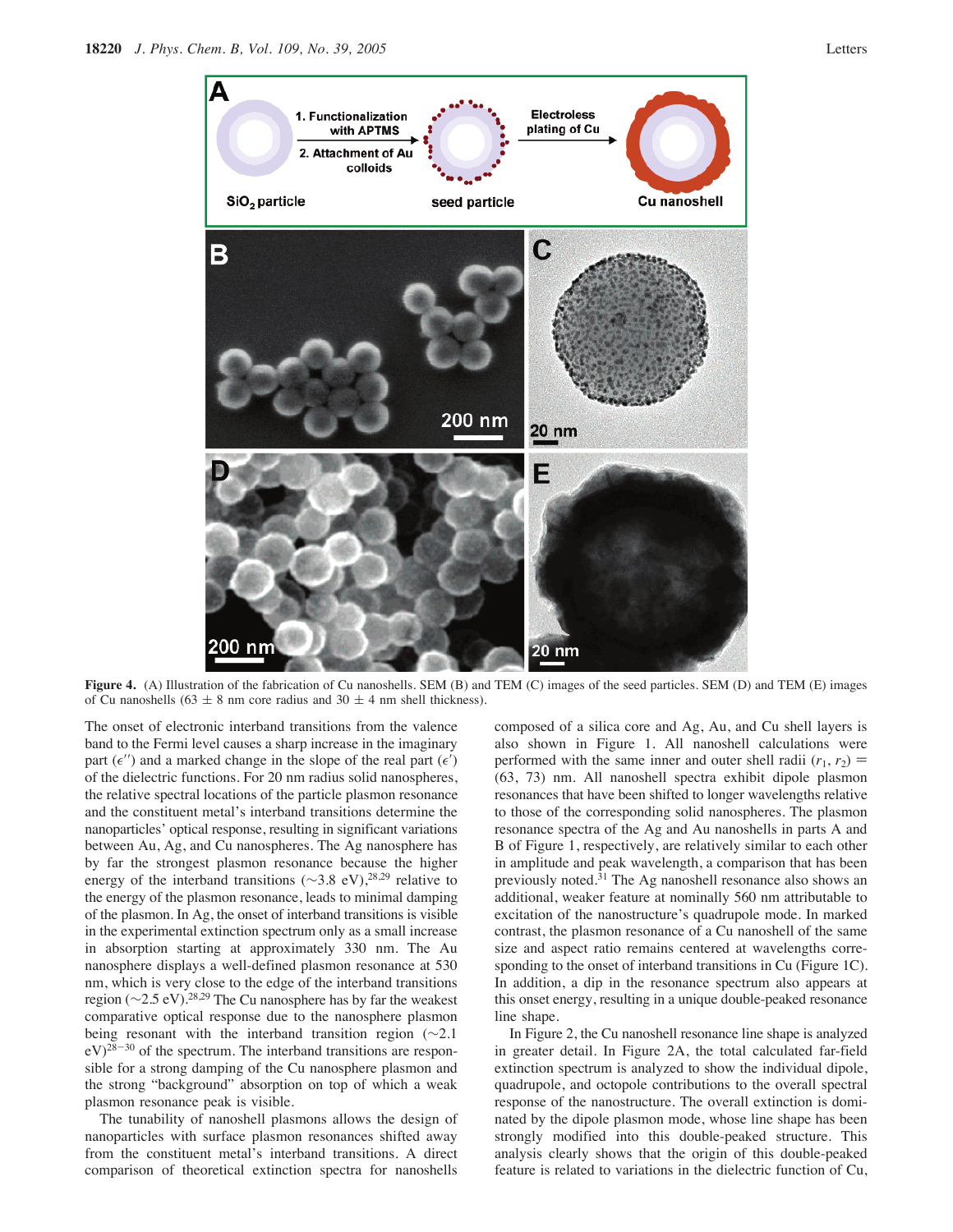

**Figure 4.** (A) Illustration of the fabrication of Cu nanoshells. SEM (B) and TEM (C) images of the seed particles. SEM (D) and TEM (E) images of Cu nanoshells (63  $\pm$  8 nm core radius and 30  $\pm$  4 nm shell thickness).

The onset of electronic interband transitions from the valence band to the Fermi level causes a sharp increase in the imaginary part  $(\epsilon'')$  and a marked change in the slope of the real part  $(\epsilon')$ of the dielectric functions. For 20 nm radius solid nanospheres, the relative spectral locations of the particle plasmon resonance and the constituent metal's interband transitions determine the nanoparticles' optical response, resulting in significant variations between Au, Ag, and Cu nanospheres. The Ag nanosphere has by far the strongest plasmon resonance because the higher energy of the interband transitions (∼3.8 eV),<sup>28,29</sup> relative to the energy of the plasmon resonance, leads to minimal damping of the plasmon. In Ag, the onset of interband transitions is visible in the experimental extinction spectrum only as a small increase in absorption starting at approximately 330 nm. The Au nanosphere displays a well-defined plasmon resonance at 530 nm, which is very close to the edge of the interband transitions region (∼2.5 eV).28,29 The Cu nanosphere has by far the weakest comparative optical response due to the nanosphere plasmon being resonant with the interband transition region (∼2.1  $eV^{28-30}$  of the spectrum. The interband transitions are responsible for a strong damping of the Cu nanosphere plasmon and the strong "background" absorption on top of which a weak plasmon resonance peak is visible.

The tunability of nanoshell plasmons allows the design of nanoparticles with surface plasmon resonances shifted away from the constituent metal's interband transitions. A direct comparison of theoretical extinction spectra for nanoshells composed of a silica core and Ag, Au, and Cu shell layers is also shown in Figure 1. All nanoshell calculations were performed with the same inner and outer shell radii  $(r_1, r_2)$  = (63, 73) nm. All nanoshell spectra exhibit dipole plasmon resonances that have been shifted to longer wavelengths relative to those of the corresponding solid nanospheres. The plasmon resonance spectra of the Ag and Au nanoshells in parts A and B of Figure 1, respectively, are relatively similar to each other in amplitude and peak wavelength, a comparison that has been previously noted.31 The Ag nanoshell resonance also shows an additional, weaker feature at nominally 560 nm attributable to excitation of the nanostructure's quadrupole mode. In marked contrast, the plasmon resonance of a Cu nanoshell of the same size and aspect ratio remains centered at wavelengths corresponding to the onset of interband transitions in Cu (Figure 1C). In addition, a dip in the resonance spectrum also appears at this onset energy, resulting in a unique double-peaked resonance line shape.

In Figure 2, the Cu nanoshell resonance line shape is analyzed in greater detail. In Figure 2A, the total calculated far-field extinction spectrum is analyzed to show the individual dipole, quadrupole, and octopole contributions to the overall spectral response of the nanostructure. The overall extinction is dominated by the dipole plasmon mode, whose line shape has been strongly modified into this double-peaked structure. This analysis clearly shows that the origin of this double-peaked feature is related to variations in the dielectric function of Cu,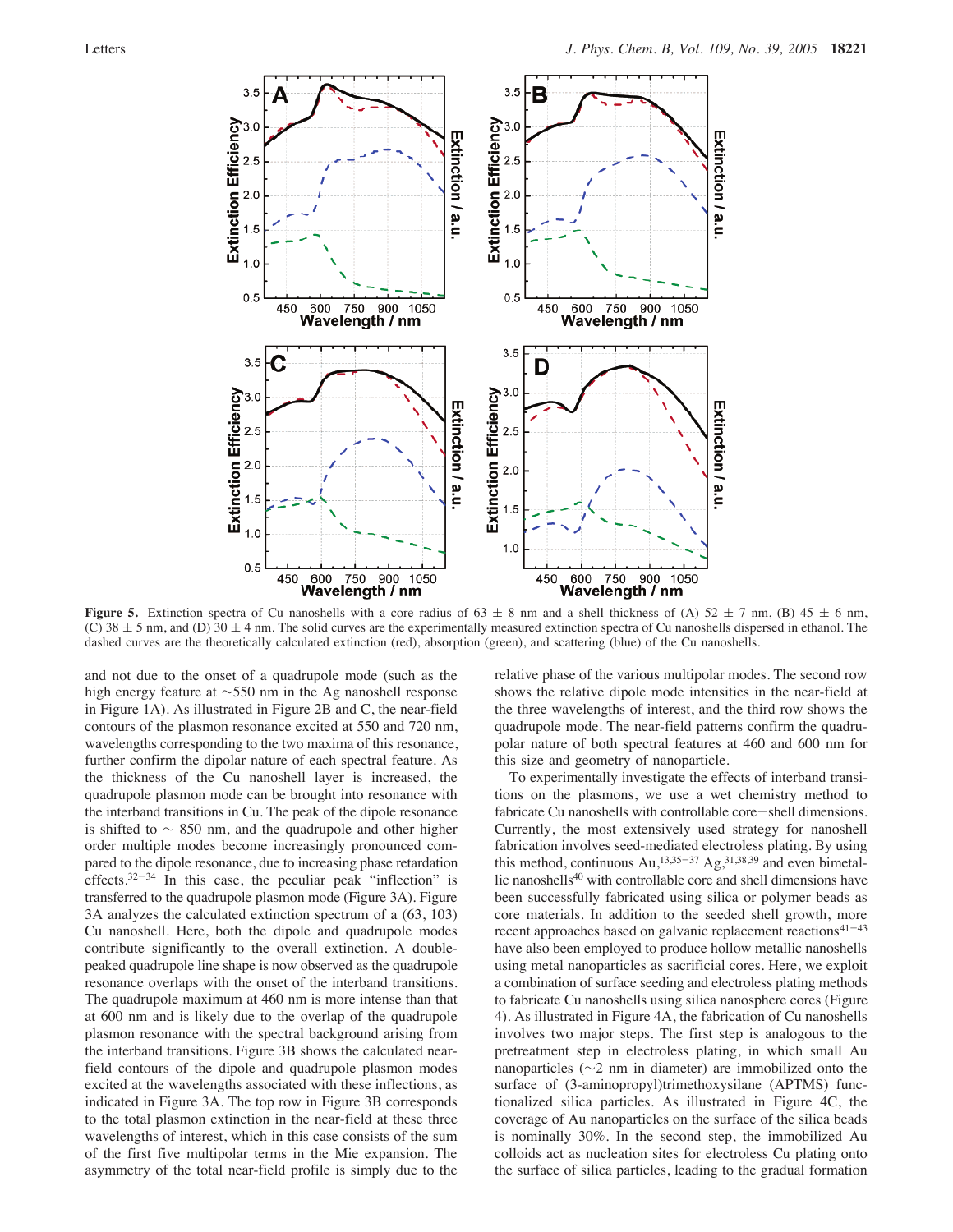

**Figure 5.** Extinction spectra of Cu nanoshells with a core radius of  $63 \pm 8$  nm and a shell thickness of (A)  $52 \pm 7$  nm, (B)  $45 \pm 6$  nm, (C)  $38 \pm 5$  nm, and (D)  $30 \pm 4$  nm. The solid curves are the experimentally measured extinction spectra of Cu nanoshells dispersed in ethanol. The dashed curves are the theoretically calculated extinction (red), absorption (green), and scattering (blue) of the Cu nanoshells.

and not due to the onset of a quadrupole mode (such as the high energy feature at ∼550 nm in the Ag nanoshell response in Figure 1A). As illustrated in Figure 2B and C, the near-field contours of the plasmon resonance excited at 550 and 720 nm, wavelengths corresponding to the two maxima of this resonance, further confirm the dipolar nature of each spectral feature. As the thickness of the Cu nanoshell layer is increased, the quadrupole plasmon mode can be brought into resonance with the interband transitions in Cu. The peak of the dipole resonance is shifted to ∼ 850 nm, and the quadrupole and other higher order multiple modes become increasingly pronounced compared to the dipole resonance, due to increasing phase retardation effects. $32-34$  In this case, the peculiar peak "inflection" is transferred to the quadrupole plasmon mode (Figure 3A). Figure 3A analyzes the calculated extinction spectrum of a (63, 103) Cu nanoshell. Here, both the dipole and quadrupole modes contribute significantly to the overall extinction. A doublepeaked quadrupole line shape is now observed as the quadrupole resonance overlaps with the onset of the interband transitions. The quadrupole maximum at 460 nm is more intense than that at 600 nm and is likely due to the overlap of the quadrupole plasmon resonance with the spectral background arising from the interband transitions. Figure 3B shows the calculated nearfield contours of the dipole and quadrupole plasmon modes excited at the wavelengths associated with these inflections, as indicated in Figure 3A. The top row in Figure 3B corresponds to the total plasmon extinction in the near-field at these three wavelengths of interest, which in this case consists of the sum of the first five multipolar terms in the Mie expansion. The asymmetry of the total near-field profile is simply due to the

relative phase of the various multipolar modes. The second row shows the relative dipole mode intensities in the near-field at the three wavelengths of interest, and the third row shows the quadrupole mode. The near-field patterns confirm the quadrupolar nature of both spectral features at 460 and 600 nm for this size and geometry of nanoparticle.

To experimentally investigate the effects of interband transitions on the plasmons, we use a wet chemistry method to fabricate Cu nanoshells with controllable core-shell dimensions. Currently, the most extensively used strategy for nanoshell fabrication involves seed-mediated electroless plating. By using this method, continuous Au,<sup>13,35–37</sup> Ag,<sup>31,38,39</sup> and even bimetallic nanoshells40 with controllable core and shell dimensions have been successfully fabricated using silica or polymer beads as core materials. In addition to the seeded shell growth, more recent approaches based on galvanic replacement reactions<sup>41-43</sup> have also been employed to produce hollow metallic nanoshells using metal nanoparticles as sacrificial cores. Here, we exploit a combination of surface seeding and electroless plating methods to fabricate Cu nanoshells using silica nanosphere cores (Figure 4). As illustrated in Figure 4A, the fabrication of Cu nanoshells involves two major steps. The first step is analogous to the pretreatment step in electroless plating, in which small Au nanoparticles (∼2 nm in diameter) are immobilized onto the surface of (3-aminopropyl)trimethoxysilane (APTMS) functionalized silica particles. As illustrated in Figure 4C, the coverage of Au nanoparticles on the surface of the silica beads is nominally 30%. In the second step, the immobilized Au colloids act as nucleation sites for electroless Cu plating onto the surface of silica particles, leading to the gradual formation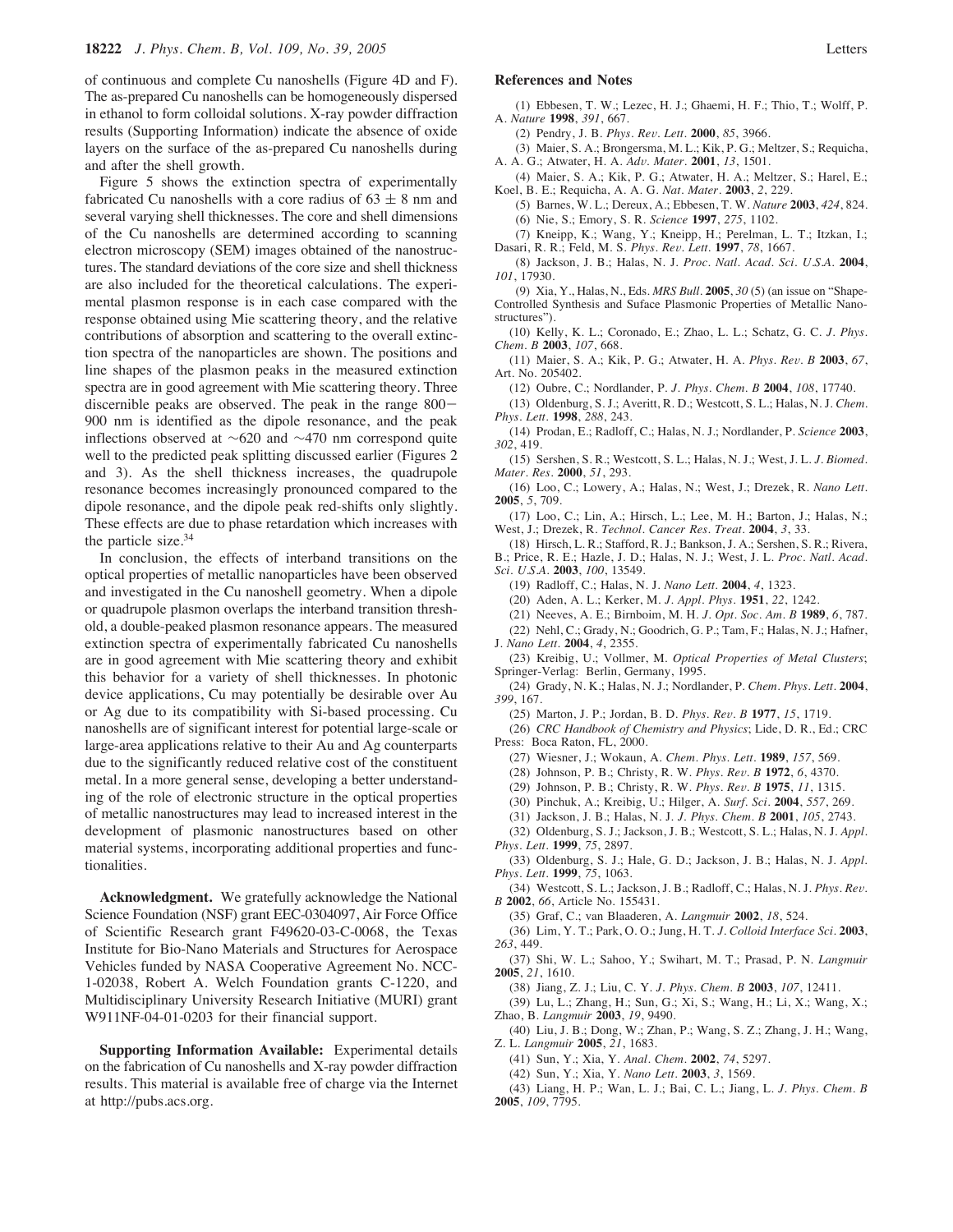of continuous and complete Cu nanoshells (Figure 4D and F). The as-prepared Cu nanoshells can be homogeneously dispersed in ethanol to form colloidal solutions. X-ray powder diffraction results (Supporting Information) indicate the absence of oxide layers on the surface of the as-prepared Cu nanoshells during and after the shell growth.

Figure 5 shows the extinction spectra of experimentally fabricated Cu nanoshells with a core radius of  $63 \pm 8$  nm and several varying shell thicknesses. The core and shell dimensions of the Cu nanoshells are determined according to scanning electron microscopy (SEM) images obtained of the nanostructures. The standard deviations of the core size and shell thickness are also included for the theoretical calculations. The experimental plasmon response is in each case compared with the response obtained using Mie scattering theory, and the relative contributions of absorption and scattering to the overall extinction spectra of the nanoparticles are shown. The positions and line shapes of the plasmon peaks in the measured extinction spectra are in good agreement with Mie scattering theory. Three discernible peaks are observed. The peak in the range 800- 900 nm is identified as the dipole resonance, and the peak inflections observed at ∼620 and ∼470 nm correspond quite well to the predicted peak splitting discussed earlier (Figures 2 and 3). As the shell thickness increases, the quadrupole resonance becomes increasingly pronounced compared to the dipole resonance, and the dipole peak red-shifts only slightly. These effects are due to phase retardation which increases with the particle size. $34$ 

In conclusion, the effects of interband transitions on the optical properties of metallic nanoparticles have been observed and investigated in the Cu nanoshell geometry. When a dipole or quadrupole plasmon overlaps the interband transition threshold, a double-peaked plasmon resonance appears. The measured extinction spectra of experimentally fabricated Cu nanoshells are in good agreement with Mie scattering theory and exhibit this behavior for a variety of shell thicknesses. In photonic device applications, Cu may potentially be desirable over Au or Ag due to its compatibility with Si-based processing. Cu nanoshells are of significant interest for potential large-scale or large-area applications relative to their Au and Ag counterparts due to the significantly reduced relative cost of the constituent metal. In a more general sense, developing a better understanding of the role of electronic structure in the optical properties of metallic nanostructures may lead to increased interest in the development of plasmonic nanostructures based on other material systems, incorporating additional properties and functionalities.

**Acknowledgment.** We gratefully acknowledge the National Science Foundation (NSF) grant EEC-0304097, Air Force Office of Scientific Research grant F49620-03-C-0068, the Texas Institute for Bio-Nano Materials and Structures for Aerospace Vehicles funded by NASA Cooperative Agreement No. NCC-1-02038, Robert A. Welch Foundation grants C-1220, and Multidisciplinary University Research Initiative (MURI) grant W911NF-04-01-0203 for their financial support.

**Supporting Information Available:** Experimental details on the fabrication of Cu nanoshells and X-ray powder diffraction results. This material is available free of charge via the Internet at http://pubs.acs.org.

#### **References and Notes**

(1) Ebbesen, T. W.; Lezec, H. J.; Ghaemi, H. F.; Thio, T.; Wolff, P. A. *Nature* **1998**, *391*, 667.

(2) Pendry, J. B. *Phys. Re*V*. Lett.* **2000**, *85*, 3966.

(3) Maier, S. A.; Brongersma, M. L.; Kik, P. G.; Meltzer, S.; Requicha, A. A. G.; Atwater, H. A. *Ad*V*. Mater*. **2001**, *13*, 1501.

(4) Maier, S. A.; Kik, P. G.; Atwater, H. A.; Meltzer, S.; Harel, E.; Koel, B. E.; Requicha, A. A. G. *Nat. Mater.* **2003**, *2*, 229.

(5) Barnes, W. L.; Dereux, A.; Ebbesen, T. W. *Nature* **2003**, *424*, 824. (6) Nie, S.; Emory, S. R. *Science* **1997**, *275*, 1102.

(7) Kneipp, K.; Wang, Y.; Kneipp, H.; Perelman, L. T.; Itzkan, I.; Dasari, R. R.; Feld, M. S. *Phys. Re*V*. Lett*. **1997**, *78*, 1667.

(8) Jackson, J. B.; Halas, N. J. *Proc. Natl. Acad. Sci. U.S.A.* **2004**, *101*, 17930.

(9) Xia, Y., Halas, N., Eds. *MRS Bull.* **2005**, *30* (5) (an issue on "Shape-Controlled Synthesis and Suface Plasmonic Properties of Metallic Nanostructures").

(10) Kelly, K. L.; Coronado, E.; Zhao, L. L.; Schatz, G. C. *J. Phys. Chem. B* **2003**, *107*, 668.

(11) Maier, S. A.; Kik, P. G.; Atwater, H. A. *Phys. Re*V*. B* **2003**, *67*, Art. No. 205402.

(12) Oubre, C.; Nordlander, P. *J. Phys. Chem. B* **2004**, *108*, 17740.

(13) Oldenburg, S. J.; Averitt, R. D.; Westcott, S. L.; Halas, N. J. *Chem. Phys. Lett.* **1998**, *288*, 243.

(14) Prodan, E.; Radloff, C.; Halas, N. J.; Nordlander, P. *Science* **2003**, *302*, 419.

(15) Sershen, S. R.; Westcott, S. L.; Halas, N. J.; West, J. L. *J. Biomed. Mater. Res.* **2000**, *51*, 293.

(16) Loo, C.; Lowery, A.; Halas, N.; West, J.; Drezek, R. *Nano Lett.* **2005**, *5*, 709.

(17) Loo, C.; Lin, A.; Hirsch, L.; Lee, M. H.; Barton, J.; Halas, N.; West, J.; Drezek, R. *Technol. Cancer Res. Treat.* **2004**, *3*, 33.

(18) Hirsch, L. R.; Stafford, R. J.; Bankson, J. A.; Sershen, S. R.; Rivera, B.; Price, R. E.; Hazle, J. D.; Halas, N. J.; West, J. L. *Proc. Natl. Acad. Sci. U.S.A.* **2003**, *100*, 13549.

- (19) Radloff, C.; Halas, N. J. *Nano Lett.* **2004**, *4*, 1323.
- (20) Aden, A. L.; Kerker, M. *J. Appl. Phys.* **1951**, *22*, 1242.

(21) Neeves, A. E.; Birnboim, M. H. *J. Opt. Soc. Am. B* **1989**, *6*, 787.

(22) Nehl, C.; Grady, N.; Goodrich, G. P.; Tam, F.; Halas, N. J.; Hafner, J. *Nano Lett.* **2004**, *4*, 2355.

(23) Kreibig, U.; Vollmer, M. *Optical Properties of Metal Clusters*; Springer-Verlag: Berlin, Germany, 1995.

(24) Grady, N. K.; Halas, N. J.; Nordlander, P. *Chem. Phys. Lett.* **2004**, *399*, 167.

(25) Marton, J. P.; Jordan, B. D. *Phys. Re*V*. B* **1977**, *15*, 1719.

(26) *CRC Handbook of Chemistry and Physics*; Lide, D. R., Ed.; CRC Press: Boca Raton, FL, 2000.

- (27) Wiesner, J.; Wokaun, A. *Chem. Phys. Lett.* **1989**, *157*, 569.
- (28) Johnson, P. B.; Christy, R. W. *Phys. Re*V*. B* **1972**, *6*, 4370.
- (29) Johnson, P. B.; Christy, R. W. *Phys. Re*V*. B* **1975**, *11*, 1315.
- (30) Pinchuk, A.; Kreibig, U.; Hilger, A. *Surf. Sci.* **2004**, *557*, 269.
- (31) Jackson, J. B.; Halas, N. J. *J. Phys. Chem. B* **2001**, *105*, 2743.

(32) Oldenburg, S. J.; Jackson, J. B.; Westcott, S. L.; Halas, N. J. *Appl. Phys. Lett.* **1999**, *75*, 2897.

(33) Oldenburg, S. J.; Hale, G. D.; Jackson, J. B.; Halas, N. J. *Appl. Phys. Lett.* **1999**, *75*, 1063.

- (34) Westcott, S. L.; Jackson, J. B.; Radloff, C.; Halas, N. J. *Phys. Re*V*. B* **2002**, *66*, Article No. 155431.
- (35) Graf, C.; van Blaaderen, A. *Langmuir* **2002**, *18*, 524.
- (36) Lim, Y. T.; Park, O. O.; Jung, H. T. *J. Colloid Interface Sci.* **2003**, *263*, 449.
- (37) Shi, W. L.; Sahoo, Y.; Swihart, M. T.; Prasad, P. N. *Langmuir* **2005**, *21*, 1610.

(38) Jiang, Z. J.; Liu, C. Y. *J. Phys. Chem. B* **2003**, *107*, 12411.

(39) Lu, L.; Zhang, H.; Sun, G.; Xi, S.; Wang, H.; Li, X.; Wang, X.; Zhao, B. *Langmuir* **2003**, *19*, 9490.

(40) Liu, J. B.; Dong, W.; Zhan, P.; Wang, S. Z.; Zhang, J. H.; Wang, Z. L. *Langmuir* **2005**, *21*, 1683.

(41) Sun, Y.; Xia, Y. *Anal. Chem.* **2002**, *74*, 5297.

(42) Sun, Y.; Xia, Y. *Nano Lett.* **2003**, *3*, 1569.

(43) Liang, H. P.; Wan, L. J.; Bai, C. L.; Jiang, L. *J. Phys. Chem. B* **2005**, *109*, 7795.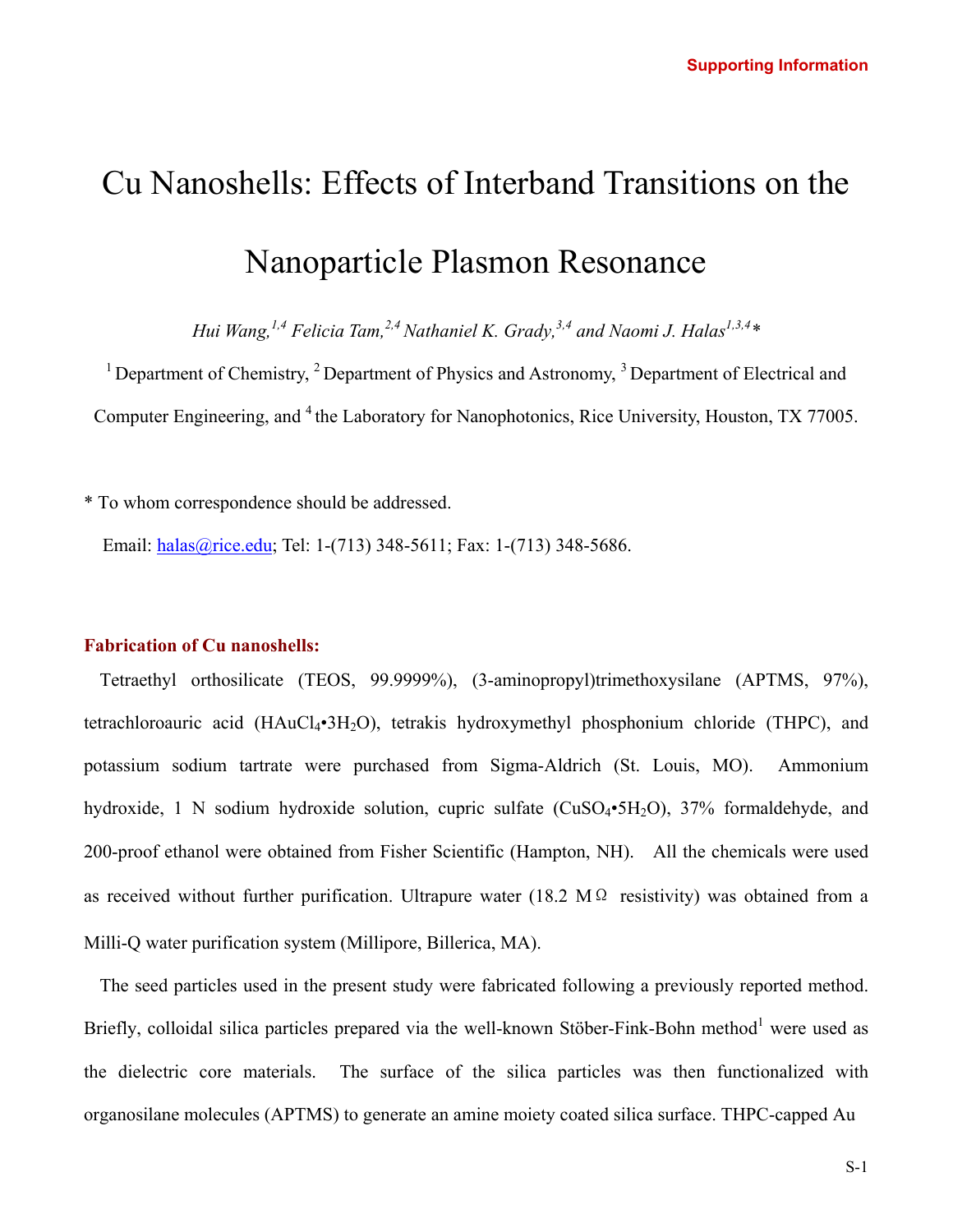# Cu Nanoshells: Effects of Interband Transitions on the Nanoparticle Plasmon Resonance

*Hui Wang,*<sup>1,4</sup> Felicia Tam,<sup>2,4</sup> Nathaniel K. Grady,<sup>3,4</sup> and Naomi J. Halas<sup>1,3,4</sup>\*

<sup>1</sup> Department of Chemistry,  $^{2}$  Department of Physics and Astronomy,  $^{3}$  Department of Electrical and Computer Engineering, and <sup>4</sup> the Laboratory for Nanophotonics, Rice University, Houston, TX 77005.

\* To whom correspondence should be addressed.

Email: [halas@rice.edu](mailto:halas@rice.edu); Tel: 1-(713) 348-5611; Fax: 1-(713) 348-5686.

### **Fabrication of Cu nanoshells:**

Tetraethyl orthosilicate (TEOS, 99.9999%), (3-aminopropyl)trimethoxysilane (APTMS, 97%), tetrachloroauric acid (HAuCl<sub>4</sub>•3H<sub>2</sub>O), tetrakis hydroxymethyl phosphonium chloride (THPC), and potassium sodium tartrate were purchased from Sigma-Aldrich (St. Louis, MO). Ammonium hydroxide, 1 N sodium hydroxide solution, cupric sulfate  $(CuSO_4 \cdot 5H_2O)$ , 37% formaldehyde, and 200-proof ethanol were obtained from Fisher Scientific (Hampton, NH). All the chemicals were used as received without further purification. Ultrapure water (18.2 M $\Omega$  resistivity) was obtained from a Milli-Q water purification system (Millipore, Billerica, MA).

The seed particles used in the present study were fabricated following a previously reported method. Briefly, colloidal silica particles prepared via the well-known Stöber-Fink-Bohn method<sup>1</sup> were used as the dielectric core materials. The surface of the silica particles was then functionalized with organosilane molecules (APTMS) to generate an amine moiety coated silica surface. THPC-capped Au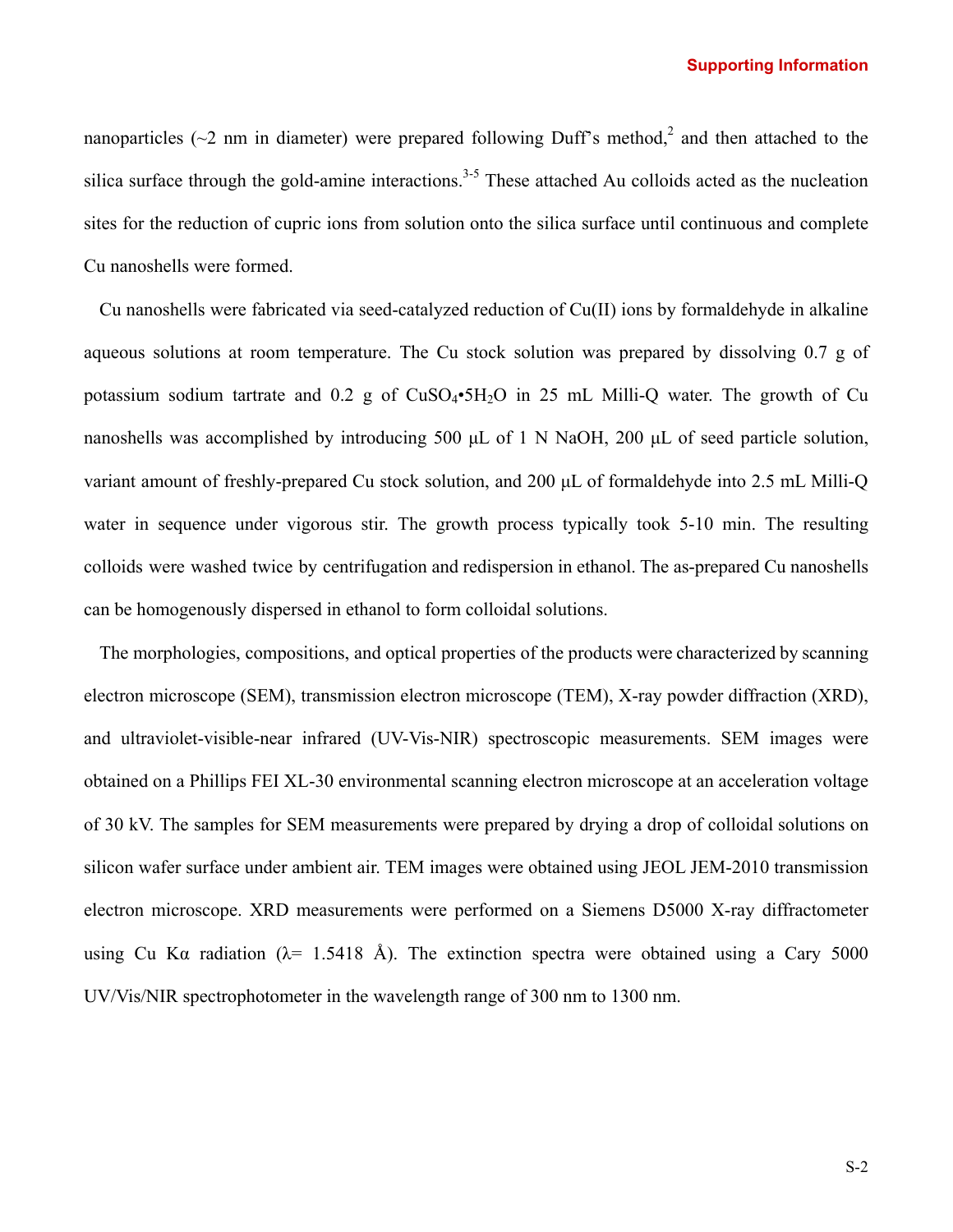#### **Supporting Information**

nanoparticles ( $\sim$ 2 nm in diameter) were prepared following Duff's method,<sup>2</sup> and then attached to the silica surface through the gold-amine interactions.<sup>3-5</sup> These attached Au colloids acted as the nucleation sites for the reduction of cupric ions from solution onto the silica surface until continuous and complete Cu nanoshells were formed.

Cu nanoshells were fabricated via seed-catalyzed reduction of Cu(II) ions by formaldehyde in alkaline aqueous solutions at room temperature. The Cu stock solution was prepared by dissolving 0.7 g of potassium sodium tartrate and  $0.2$  g of  $CuSO<sub>4</sub>•5H<sub>2</sub>O$  in 25 mL Milli-Q water. The growth of Cu nanoshells was accomplished by introducing 500 µL of 1 N NaOH, 200 µL of seed particle solution, variant amount of freshly-prepared Cu stock solution, and 200 µL of formaldehyde into 2.5 mL Milli-Q water in sequence under vigorous stir. The growth process typically took 5-10 min. The resulting colloids were washed twice by centrifugation and redispersion in ethanol. The as-prepared Cu nanoshells can be homogenously dispersed in ethanol to form colloidal solutions.

The morphologies, compositions, and optical properties of the products were characterized by scanning electron microscope (SEM), transmission electron microscope (TEM), X-ray powder diffraction (XRD), and ultraviolet-visible-near infrared (UV-Vis-NIR) spectroscopic measurements. SEM images were obtained on a Phillips FEI XL-30 environmental scanning electron microscope at an acceleration voltage of 30 kV. The samples for SEM measurements were prepared by drying a drop of colloidal solutions on silicon wafer surface under ambient air. TEM images were obtained using JEOL JEM-2010 transmission electron microscope. XRD measurements were performed on a Siemens D5000 X-ray diffractometer using Cu K $\alpha$  radiation ( $\lambda$ = 1.5418 Å). The extinction spectra were obtained using a Cary 5000 UV/Vis/NIR spectrophotometer in the wavelength range of 300 nm to 1300 nm.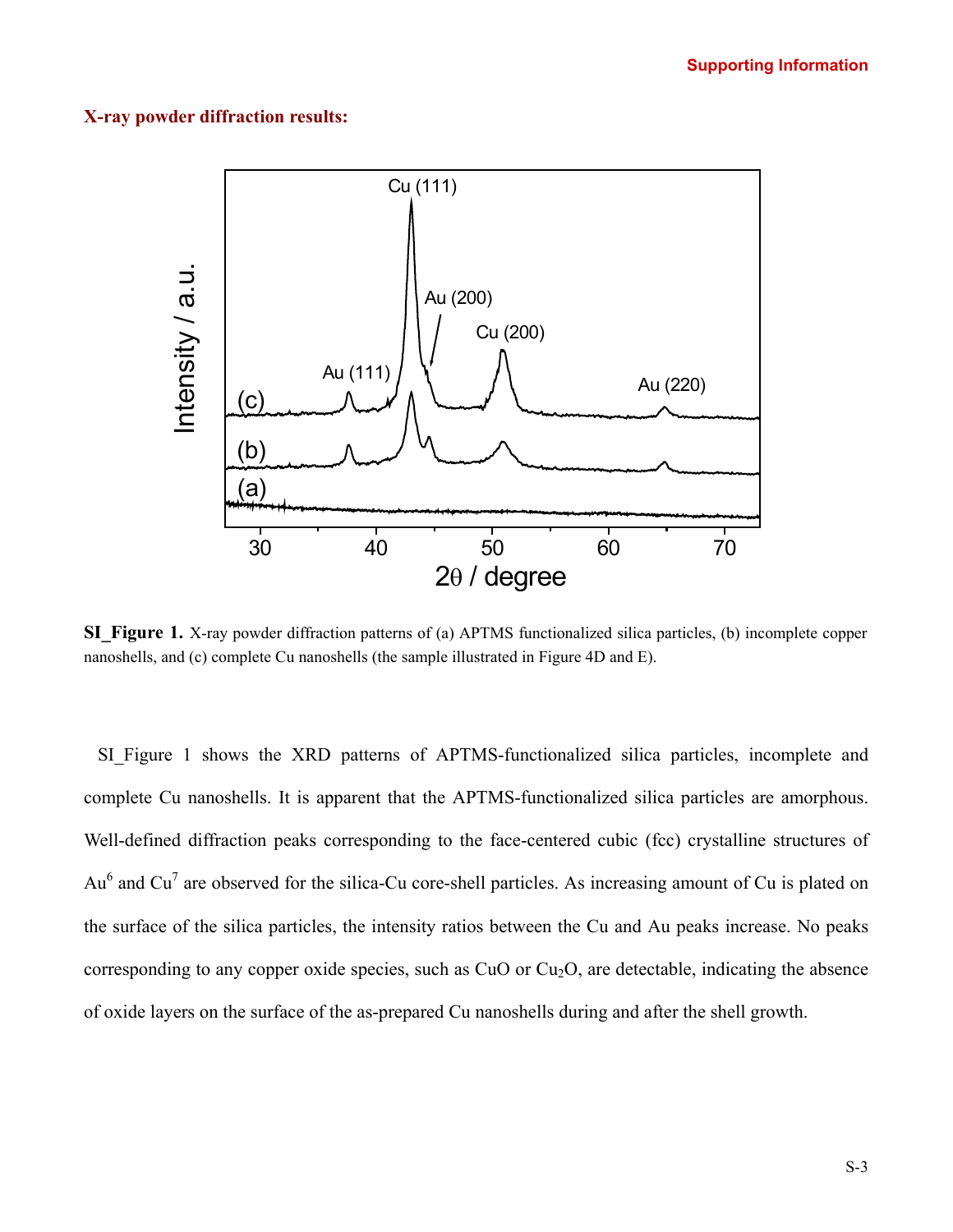#### **X-ray powder diffraction results:**



**SI\_Figure 1.** X-ray powder diffraction patterns of (a) APTMS functionalized silica particles, (b) incomplete copper nanoshells, and (c) complete Cu nanoshells (the sample illustrated in Figure 4D and E).

SI Figure 1 shows the XRD patterns of APTMS-functionalized silica particles, incomplete and complete Cu nanoshells. It is apparent that the APTMS-functionalized silica particles are amorphous. Well-defined diffraction peaks corresponding to the face-centered cubic (fcc) crystalline structures of  $Au<sup>6</sup>$  and Cu<sup>7</sup> are observed for the silica-Cu core-shell particles. As increasing amount of Cu is plated on the surface of the silica particles, the intensity ratios between the Cu and Au peaks increase. No peaks corresponding to any copper oxide species, such as CuO or  $Cu<sub>2</sub>O$ , are detectable, indicating the absence of oxide layers on the surface of the as-prepared Cu nanoshells during and after the shell growth.